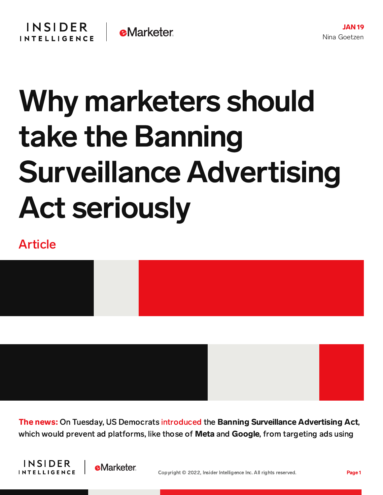## Why marketers should take the Banning Surveillance Advertising Act seriously

## Article



The news: On Tuesday, US Democrats [introduced](https://eshoo.house.gov/media/press-releases/eshoo-schakowsky-booker-introduce-bill-ban-surveillance-advertising) the Banning Surveillance Advertising Act, which would prevent ad platforms, like those of **Meta** and **Google**, from targeting ads using